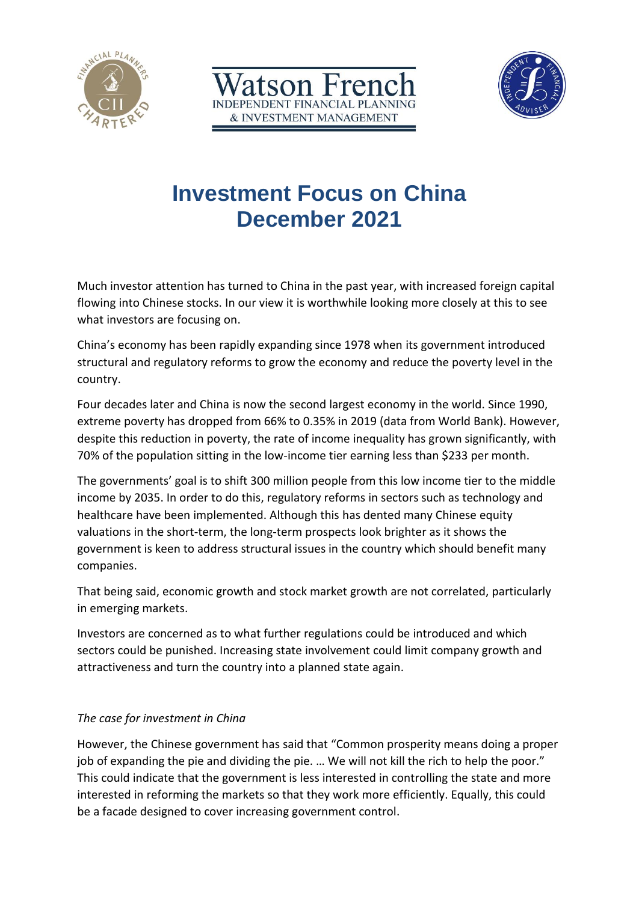





# **Investment Focus on China December 2021**

Much investor attention has turned to China in the past year, with increased foreign capital flowing into Chinese stocks. In our view it is worthwhile looking more closely at this to see what investors are focusing on.

China's economy has been rapidly expanding since 1978 when its government introduced structural and regulatory reforms to grow the economy and reduce the poverty level in the country.

Four decades later and China is now the second largest economy in the world. Since 1990, extreme poverty has dropped from 66% to 0.35% in 2019 (data from World Bank). However, despite this reduction in poverty, the rate of income inequality has grown significantly, with 70% of the population sitting in the low-income tier earning less than \$233 per month.

The governments' goal is to shift 300 million people from this low income tier to the middle income by 2035. In order to do this, regulatory reforms in sectors such as technology and healthcare have been implemented. Although this has dented many Chinese equity valuations in the short-term, the long-term prospects look brighter as it shows the government is keen to address structural issues in the country which should benefit many companies.

That being said, economic growth and stock market growth are not correlated, particularly in emerging markets.

Investors are concerned as to what further regulations could be introduced and which sectors could be punished. Increasing state involvement could limit company growth and attractiveness and turn the country into a planned state again.

# *The case for investment in China*

However, the Chinese government has said that "Common prosperity means doing a proper job of expanding the pie and dividing the pie. … We will not kill the rich to help the poor." This could indicate that the government is less interested in controlling the state and more interested in reforming the markets so that they work more efficiently. Equally, this could be a facade designed to cover increasing government control.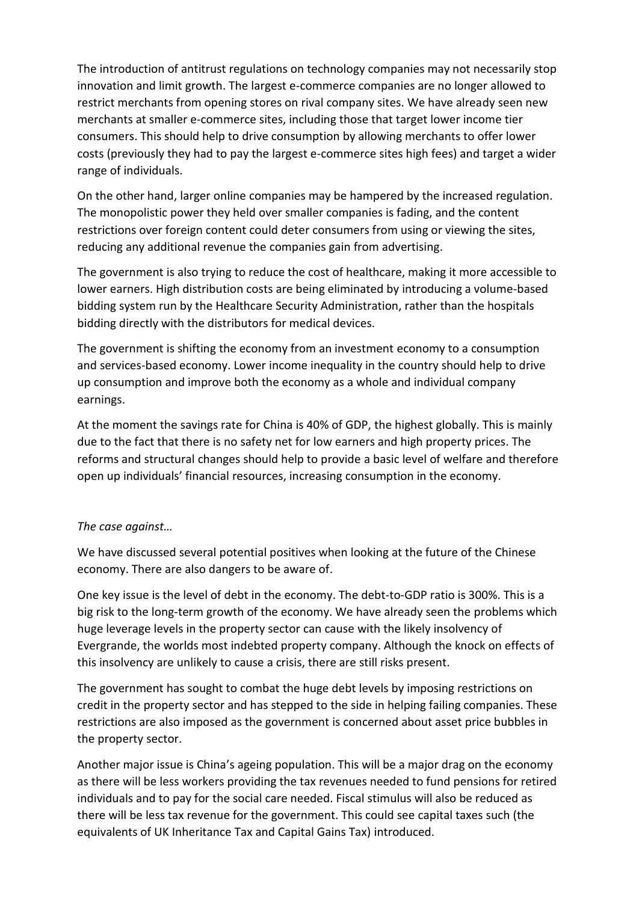The introduction of antitrust regulations on technology companies may not necessarily stop innovation and limit growth. The largest e-commerce companies are no longer allowed to restrict merchants from opening stores on rival company sites. We have already seen new merchants at smaller e-commerce sites, including those that target lower income tier consumers. This should help to drive consumption by allowing merchants to offer lower costs (previously they had to pay the largest e-commerce sites high fees) and target a wider range of individuals.

On the other hand, larger online companies may be hampered by the increased regulation. The monopolistic power they held over smaller companies is fading, and the content restrictions over foreign content could deter consumers from using or viewing the sites, reducing any additional revenue the companies gain from advertising.

The government is also trying to reduce the cost of healthcare, making it more accessible to lower earners. High distribution costs are being eliminated by introducing a volume-based bidding system run by the Healthcare Security Administration, rather than the hospitals bidding directly with the distributors for medical devices.

The government is shifting the economy from an investment economy to a consumption and services-based economy. Lower income inequality in the country should help to drive up consumption and improve both the economy as a whole and individual company earnings.

At the moment the savings rate for China is 40% of GDP, the highest globally. This is mainly due to the fact that there is no safety net for low earners and high property prices. The reforms and structural changes should help to provide a basic level of welfare and therefore open up individuals' financial resources, increasing consumption in the economy.

#### *The case against…*

We have discussed several potential positives when looking at the future of the Chinese economy. There are also dangers to be aware of.

One key issue is the level of debt in the economy. The debt-to-GDP ratio is 300%. This is a big risk to the long-term growth of the economy. We have already seen the problems which huge leverage levels in the property sector can cause with the likely insolvency of Evergrande, the worlds most indebted property company. Although the knock on effects of this insolvency are unlikely to cause a crisis, there are still risks present.

The government has sought to combat the huge debt levels by imposing restrictions on credit in the property sector and has stepped to the side in helping failing companies. These restrictions are also imposed as the government is concerned about asset price bubbles in the property sector.

Another major issue is China's ageing population. This will be a major drag on the economy as there will be less workers providing the tax revenues needed to fund pensions for retired individuals and to pay for the social care needed. Fiscal stimulus will also be reduced as there will be less tax revenue for the government. This could see capital taxes such (the equivalents of UK Inheritance Tax and Capital Gains Tax) introduced.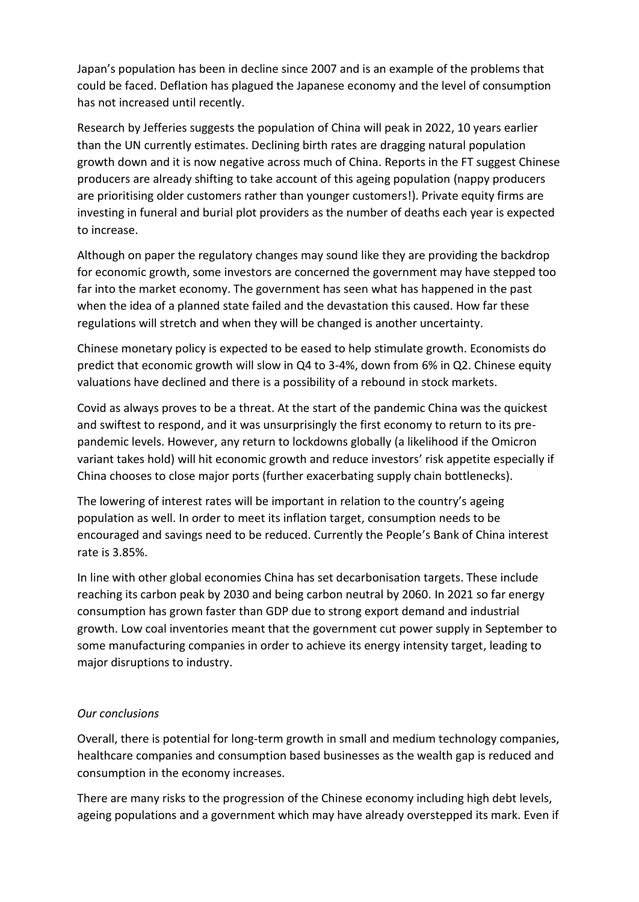Japan's population has been in decline since 2007 and is an example of the problems that could be faced. Deflation has plagued the Japanese economy and the level of consumption has not increased until recently.

Research by Jefferies suggests the population of China will peak in 2022, 10 years earlier than the UN currently estimates. Declining birth rates are dragging natural population growth down and it is now negative across much of China. Reports in the FT suggest Chinese producers are already shifting to take account of this ageing population (nappy producers are prioritising older customers rather than younger customers!). Private equity firms are investing in funeral and burial plot providers as the number of deaths each year is expected to increase.

Although on paper the regulatory changes may sound like they are providing the backdrop for economic growth, some investors are concerned the government may have stepped too far into the market economy. The government has seen what has happened in the past when the idea of a planned state failed and the devastation this caused. How far these regulations will stretch and when they will be changed is another uncertainty.

Chinese monetary policy is expected to be eased to help stimulate growth. Economists do predict that economic growth will slow in Q4 to 3-4%, down from 6% in Q2. Chinese equity valuations have declined and there is a possibility of a rebound in stock markets.

Covid as always proves to be a threat. At the start of the pandemic China was the quickest and swiftest to respond, and it was unsurprisingly the first economy to return to its prepandemic levels. However, any return to lockdowns globally (a likelihood if the Omicron variant takes hold) will hit economic growth and reduce investors' risk appetite especially if China chooses to close major ports (further exacerbating supply chain bottlenecks).

The lowering of interest rates will be important in relation to the country's ageing population as well. In order to meet its inflation target, consumption needs to be encouraged and savings need to be reduced. Currently the People's Bank of China interest rate is 3.85%.

In line with other global economies China has set decarbonisation targets. These include reaching its carbon peak by 2030 and being carbon neutral by 2060. In 2021 so far energy consumption has grown faster than GDP due to strong export demand and industrial growth. Low coal inventories meant that the government cut power supply in September to some manufacturing companies in order to achieve its energy intensity target, leading to major disruptions to industry.

## *Our conclusions*

Overall, there is potential for long-term growth in small and medium technology companies, healthcare companies and consumption based businesses as the wealth gap is reduced and consumption in the economy increases.

There are many risks to the progression of the Chinese economy including high debt levels, ageing populations and a government which may have already overstepped its mark. Even if